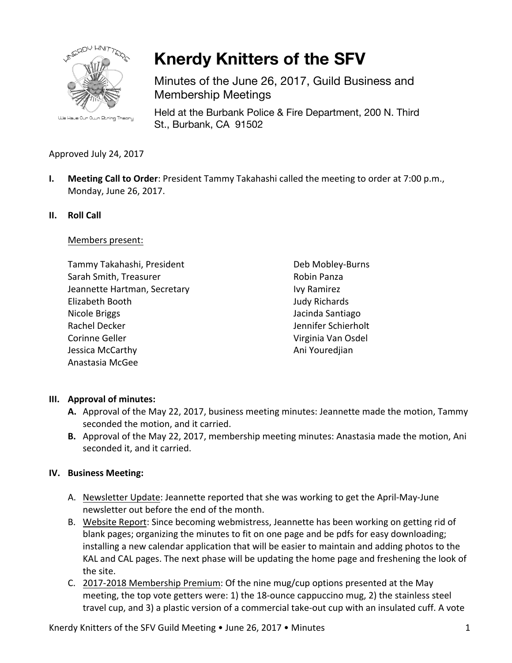

**Knerdy Knitters of the SFV**

Minutes of the June 26, 2017, Guild Business and Membership Meetings

Held at the Burbank Police & Fire Department, 200 N. Third St., Burbank, CA 91502

# Approved July 24, 2017

**I.** Meeting Call to Order: President Tammy Takahashi called the meeting to order at 7:00 p.m., Monday, June 26, 2017.

#### **II. Roll Call**

Members present:

Tammy Takahashi, President Sarah Smith, Treasurer Jeannette Hartman, Secretary Elizabeth Booth Nicole Briggs Rachel Decker Corinne Geller Jessica McCarthy Anastasia McGee

Deb Mobley-Burns Robin Panza Ivy Ramirez Judy Richards Jacinda Santiago Jennifer Schierholt Virginia Van Osdel Ani Youredjian

## **III.** Approval of minutes:

- A. Approval of the May 22, 2017, business meeting minutes: Jeannette made the motion, Tammy seconded the motion, and it carried.
- **B.** Approval of the May 22, 2017, membership meeting minutes: Anastasia made the motion, Ani seconded it, and it carried.

## **IV. Business Meeting:**

- A. Newsletter Update: Jeannette reported that she was working to get the April-May-June newsletter out before the end of the month.
- B. Website Report: Since becoming webmistress, Jeannette has been working on getting rid of blank pages; organizing the minutes to fit on one page and be pdfs for easy downloading; installing a new calendar application that will be easier to maintain and adding photos to the KAL and CAL pages. The next phase will be updating the home page and freshening the look of the site.
- C. 2017-2018 Membership Premium: Of the nine mug/cup options presented at the May meeting, the top vote getters were: 1) the 18-ounce cappuccino mug, 2) the stainless steel travel cup, and 3) a plastic version of a commercial take-out cup with an insulated cuff. A vote

Knerdy Knitters of the SFV Guild Meeting  $\bullet$  June 26, 2017  $\bullet$  Minutes  $1$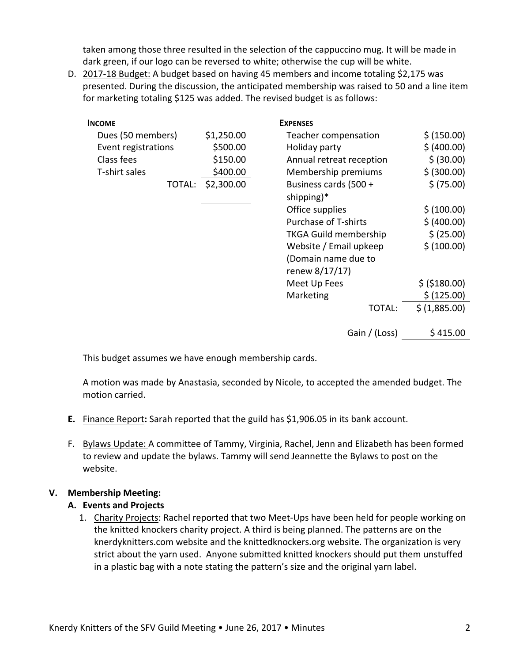taken among those three resulted in the selection of the cappuccino mug. It will be made in dark green, if our logo can be reversed to white; otherwise the cup will be white.

D. 2017-18 Budget: A budget based on having 45 members and income totaling \$2,175 was presented. During the discussion, the anticipated membership was raised to 50 and a line item for marketing totaling \$125 was added. The revised budget is as follows:

| <b>INCOME</b>       |            | <b>EXPENSES</b>              |                |
|---------------------|------------|------------------------------|----------------|
| Dues (50 members)   | \$1,250.00 | Teacher compensation         | \$ (150.00)    |
| Event registrations | \$500.00   | Holiday party                | \$ (400.00)    |
| Class fees          | \$150.00   | Annual retreat reception     | \$ (30.00)     |
| T-shirt sales       | \$400.00   | Membership premiums          | \$ (300.00)    |
| TOTAL:              | \$2,300.00 | Business cards (500 +        | \$ (75.00)     |
|                     |            | shipping)*                   |                |
|                     |            | Office supplies              | \$ (100.00)    |
|                     |            | <b>Purchase of T-shirts</b>  | \$ (400.00)    |
|                     |            | <b>TKGA Guild membership</b> | \$ (25.00)     |
|                     |            | Website / Email upkeep       | \$ (100.00)    |
|                     |            | (Domain name due to          |                |
|                     |            | renew 8/17/17)               |                |
|                     |            | Meet Up Fees                 | \$ ( \$180.00) |
|                     |            | Marketing                    | \$ (125.00)    |
|                     |            | <b>TOTAL:</b>                | \$ (1,885.00)  |
|                     |            |                              |                |
|                     |            | Gain / (Loss)                | \$415.00       |

This budget assumes we have enough membership cards.

A motion was made by Anastasia, seconded by Nicole, to accepted the amended budget. The motion carried.

- **E.** Finance Report: Sarah reported that the guild has \$1,906.05 in its bank account.
- F. Bylaws Update: A committee of Tammy, Virginia, Rachel, Jenn and Elizabeth has been formed to review and update the bylaws. Tammy will send Jeannette the Bylaws to post on the website.

## **V. Membership Meeting:**

#### **A. Events and Projects**

1. Charity Projects: Rachel reported that two Meet-Ups have been held for people working on the knitted knockers charity project. A third is being planned. The patterns are on the knerdyknitters.com website and the knittedknockers.org website. The organization is very strict about the yarn used. Anyone submitted knitted knockers should put them unstuffed in a plastic bag with a note stating the pattern's size and the original yarn label.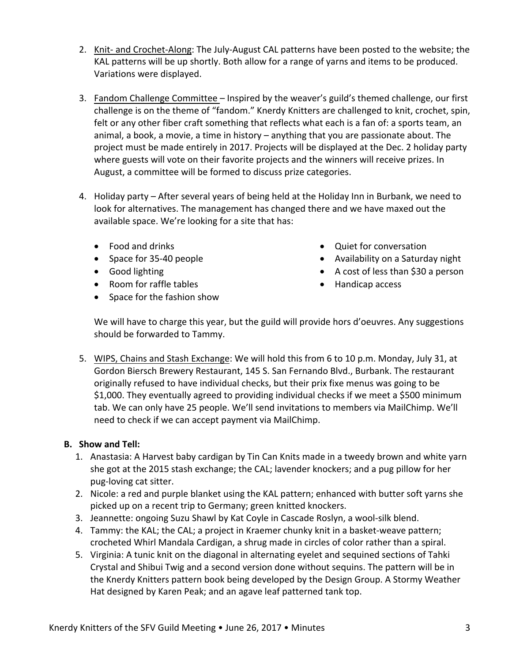- 2. Knit- and Crochet-Along: The July-August CAL patterns have been posted to the website; the KAL patterns will be up shortly. Both allow for a range of yarns and items to be produced. Variations were displayed.
- 3. Fandom Challenge Committee Inspired by the weaver's guild's themed challenge, our first challenge is on the theme of "fandom." Knerdy Knitters are challenged to knit, crochet, spin, felt or any other fiber craft something that reflects what each is a fan of: a sports team, an animal, a book, a movie, a time in history  $-$  anything that you are passionate about. The project must be made entirely in 2017. Projects will be displayed at the Dec. 2 holiday party where guests will vote on their favorite projects and the winners will receive prizes. In August, a committee will be formed to discuss prize categories.
- 4. Holiday party After several years of being held at the Holiday Inn in Burbank, we need to look for alternatives. The management has changed there and we have maxed out the available space. We're looking for a site that has:
	- Food and drinks
	- Space for 35-40 people
	- Good lighting
	- Room for raffle tables
	- Space for the fashion show
- Quiet for conversation
- Availability on a Saturday night
- A cost of less than \$30 a person
- Handicap access

We will have to charge this year, but the guild will provide hors d'oeuvres. Any suggestions should be forwarded to Tammy.

5. WIPS, Chains and Stash Exchange: We will hold this from 6 to 10 p.m. Monday, July 31, at Gordon Biersch Brewery Restaurant, 145 S. San Fernando Blvd., Burbank. The restaurant originally refused to have individual checks, but their prix fixe menus was going to be \$1,000. They eventually agreed to providing individual checks if we meet a \$500 minimum tab. We can only have 25 people. We'll send invitations to members via MailChimp. We'll need to check if we can accept payment via MailChimp.

## **B. Show and Tell:**

- 1. Anastasia: A Harvest baby cardigan by Tin Can Knits made in a tweedy brown and white yarn she got at the 2015 stash exchange; the CAL; lavender knockers; and a pug pillow for her pug-loving cat sitter.
- 2. Nicole: a red and purple blanket using the KAL pattern; enhanced with butter soft yarns she picked up on a recent trip to Germany; green knitted knockers.
- 3. Jeannette: ongoing Suzu Shawl by Kat Coyle in Cascade Roslyn, a wool-silk blend.
- 4. Tammy: the KAL; the CAL; a project in Kraemer chunky knit in a basket-weave pattern; crocheted Whirl Mandala Cardigan, a shrug made in circles of color rather than a spiral.
- 5. Virginia: A tunic knit on the diagonal in alternating eyelet and sequined sections of Tahki Crystal and Shibui Twig and a second version done without sequins. The pattern will be in the Knerdy Knitters pattern book being developed by the Design Group. A Stormy Weather Hat designed by Karen Peak; and an agave leaf patterned tank top.